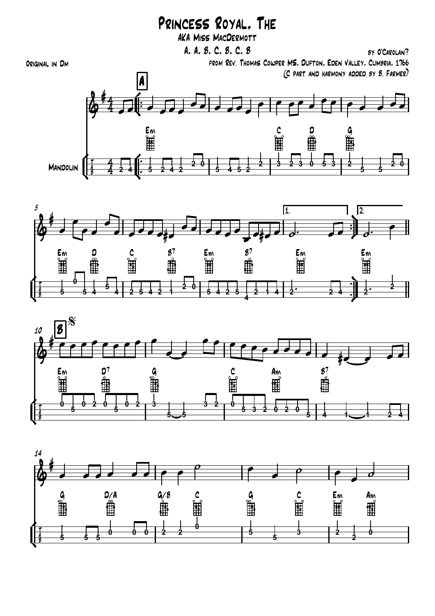## Princess Royal, The

AKA Miss MacDermott

┟<br>╓ **∪** —<br>∫ ¢ ™ ™ **∫** ¢  $MANDOLIN$ A |  $\mathsf{E}_{\mathsf{M}}$  and  $\mathsf{C}$  and  $\mathsf{G}$  and  $\mathsf{G}$  and  $\mathsf{G}$  $4 - 1$  $4 \Box f$  $\omega$  4.  $\Omega$  . **#4** Original in Dm A, A, B, C, B, C, B from Rev. Thomas Cowper MS, Dufton, Eden Valley, Cumbria, 1766 (C part and harmony added by B. Farmer)  $\frac{4}{3}$  4  $\overline{\mathcal{L}}$   $\overline{\mathcal{L}}$   $\overline{\mathcal{L}}$   $\overline{\mathcal{L}}$   $\overline{\mathcal{L}}$  $\bullet$ e  $\circ$ e  $\circ$ e  $\circ$ œ œ œ œ œ  $e \rightarrow e$  $\bullet$ **2 4 5 2 4 2 2 0 5 4 5 2 2 3 2 3 0 5 3 2 5 5 20**